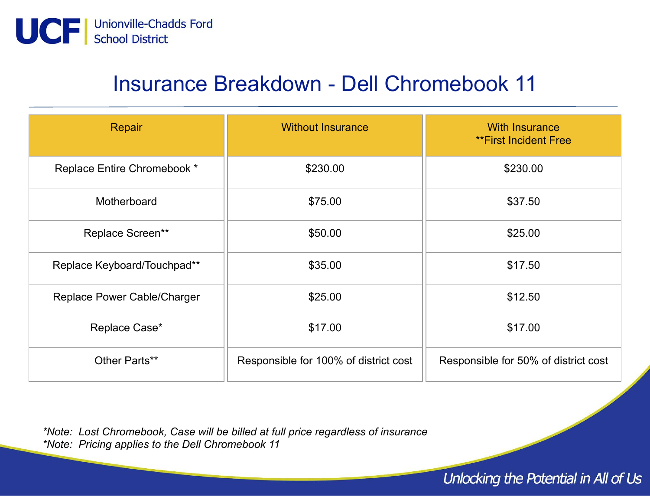

## Insurance Breakdown - Dell Chromebook 11

| Repair                      | <b>Without Insurance</b>              | <b>With Insurance</b><br><b>**First Incident Free</b> |
|-----------------------------|---------------------------------------|-------------------------------------------------------|
| Replace Entire Chromebook * | \$230.00                              | \$230.00                                              |
| Motherboard                 | \$75.00                               | \$37.50                                               |
| Replace Screen**            | \$50.00                               | \$25.00                                               |
| Replace Keyboard/Touchpad** | \$35.00                               | \$17.50                                               |
| Replace Power Cable/Charger | \$25.00                               | \$12.50                                               |
| Replace Case*               | \$17.00                               | \$17.00                                               |
| Other Parts**               | Responsible for 100% of district cost | Responsible for 50% of district cost                  |

\*Note: Lost Chromebook, Case will be billed at full price regardless of insurance \*Note: Pricing applies to the Dell Chromebook 11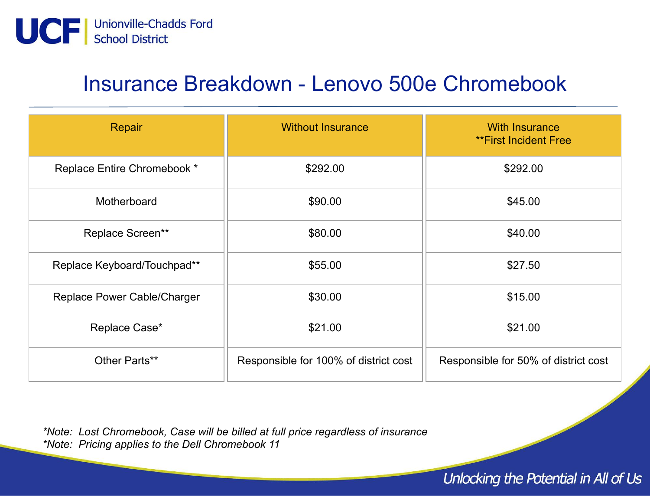

#### Insurance Breakdown - Lenovo 500e Chromebook

| Repair                      | <b>Without Insurance</b>              | <b>With Insurance</b><br><b>**First Incident Free</b> |
|-----------------------------|---------------------------------------|-------------------------------------------------------|
| Replace Entire Chromebook * | \$292.00                              | \$292.00                                              |
| Motherboard                 | \$90.00                               | \$45.00                                               |
| Replace Screen**            | \$80.00                               | \$40.00                                               |
| Replace Keyboard/Touchpad** | \$55.00                               | \$27.50                                               |
| Replace Power Cable/Charger | \$30.00                               | \$15.00                                               |
| Replace Case*               | \$21.00                               | \$21.00                                               |
| Other Parts**               | Responsible for 100% of district cost | Responsible for 50% of district cost                  |

\*Note: Lost Chromebook, Case will be billed at full price regardless of insurance \*Note: Pricing applies to the Dell Chromebook 11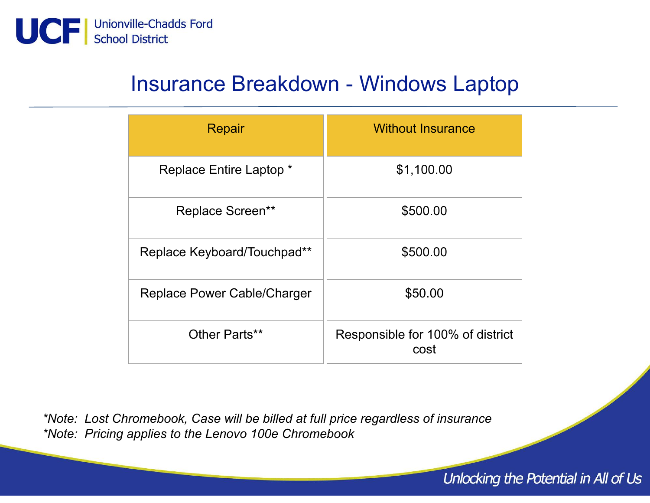

### Insurance Breakdown - Windows Laptop

| Repair                      | <b>Without Insurance</b>                 |
|-----------------------------|------------------------------------------|
| Replace Entire Laptop *     | \$1,100.00                               |
| <b>Replace Screen**</b>     | \$500.00                                 |
| Replace Keyboard/Touchpad** | \$500.00                                 |
| Replace Power Cable/Charger | \$50.00                                  |
| Other Parts**               | Responsible for 100% of district<br>cost |

\*Note: Lost Chromebook, Case will be billed at full price regardless of insurance \*Note: Pricing applies to the Lenovo 100e Chromebook

Unlocking the Potential in All of Us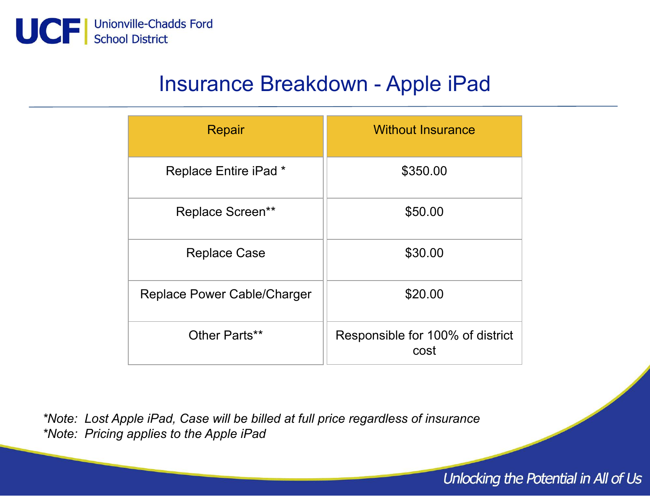

### Insurance Breakdown - Apple iPad

| Repair                      | <b>Without Insurance</b>                 |
|-----------------------------|------------------------------------------|
| Replace Entire iPad *       | \$350.00                                 |
| <b>Replace Screen**</b>     | \$50.00                                  |
| <b>Replace Case</b>         | \$30.00                                  |
| Replace Power Cable/Charger | \$20.00                                  |
| Other Parts**               | Responsible for 100% of district<br>cost |

\*Note: Lost Apple iPad, Case will be billed at full price regardless of insurance \*Note: Pricing applies to the Apple iPad

#### Unlocking the Potential in All of Us